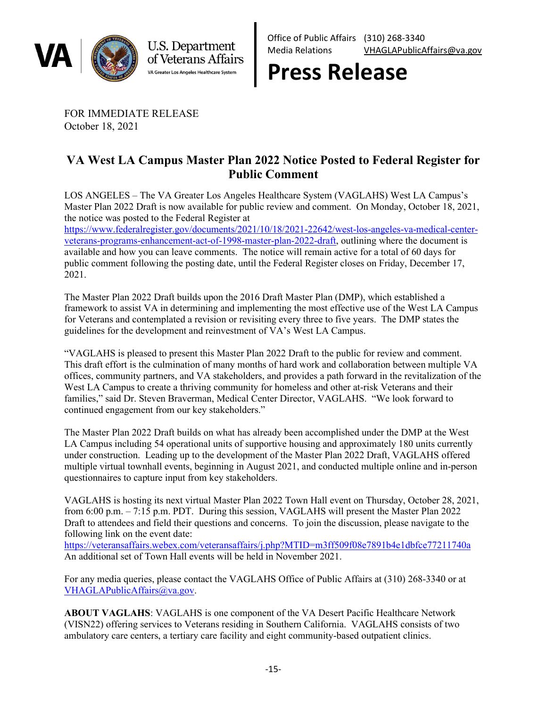

U.S. Department of Veterans Affairs VA Greater Los Angeles Healthcare System

Office of Public Affairs (310) 268-3340 Media Relations [VHAGLAPublicAffairs@va.gov](mailto:VHAGLAPublicAffairs@va.gov)

## **Press Release**

FOR IMMEDIATE RELEASE October 18, 2021

## **VA West LA Campus Master Plan 2022 Notice Posted to Federal Register for Public Comment**

LOS ANGELES – The VA Greater Los Angeles Healthcare System (VAGLAHS) West LA Campus's Master Plan 2022 Draft is now available for public review and comment. On Monday, October 18, 2021, the notice was posted to the Federal Register at

[https://www.federalregister.gov/documents/2021/10/18/2021-22642/west-los-angeles-va-medical-center](https://www.federalregister.gov/documents/2021/10/18/2021-22642/west-los-angeles-va-medical-center-veterans-programs-enhancement-act-of-1998-master-plan-2022-draft)[veterans-programs-enhancement-act-of-1998-master-plan-2022-draft,](https://www.federalregister.gov/documents/2021/10/18/2021-22642/west-los-angeles-va-medical-center-veterans-programs-enhancement-act-of-1998-master-plan-2022-draft) outlining where the document is available and how you can leave comments. The notice will remain active for a total of 60 days for public comment following the posting date, until the Federal Register closes on Friday, December 17, 2021.

The Master Plan 2022 Draft builds upon the 2016 Draft Master Plan (DMP), which established a framework to assist VA in determining and implementing the most effective use of the West LA Campus for Veterans and contemplated a revision or revisiting every three to five years. The DMP states the guidelines for the development and reinvestment of VA's West LA Campus.

"VAGLAHS is pleased to present this Master Plan 2022 Draft to the public for review and comment. This draft effort is the culmination of many months of hard work and collaboration between multiple VA offices, community partners, and VA stakeholders, and provides a path forward in the revitalization of the West LA Campus to create a thriving community for homeless and other at-risk Veterans and their families," said Dr. Steven Braverman, Medical Center Director, VAGLAHS. "We look forward to continued engagement from our key stakeholders."

The Master Plan 2022 Draft builds on what has already been accomplished under the DMP at the West LA Campus including 54 operational units of supportive housing and approximately 180 units currently under construction. Leading up to the development of the Master Plan 2022 Draft, VAGLAHS offered multiple virtual townhall events, beginning in August 2021, and conducted multiple online and in-person questionnaires to capture input from key stakeholders.

VAGLAHS is hosting its next virtual Master Plan 2022 Town Hall event on Thursday, October 28, 2021, from 6:00 p.m. – 7:15 p.m. PDT. During this session, VAGLAHS will present the Master Plan 2022 Draft to attendees and field their questions and concerns. To join the discussion, please navigate to the following link on the event date:

<https://veteransaffairs.webex.com/veteransaffairs/j.php?MTID=m3ff509f08e7891b4e1dbfce77211740a> An additional set of Town Hall events will be held in November 2021.

For any media queries, please contact the VAGLAHS Office of Public Affairs at (310) 268-3340 or at [VHAGLAPublicAffairs@va.gov.](mailto:VHAGLAPublicAffairs@va.gov)

**ABOUT VAGLAHS**: VAGLAHS is one component of the VA Desert Pacific Healthcare Network (VISN22) offering services to Veterans residing in Southern California. VAGLAHS consists of two ambulatory care centers, a tertiary care facility and eight community-based outpatient clinics.